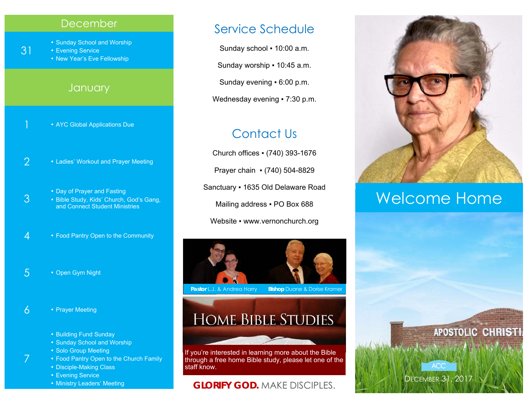#### December

■ Sunday School and Worship

**Evening Service** 

31

3

7

**• New Year's Eve Fellowship** 

#### **January**

- **\* AYC Global Applications Due**
- 2  **Ladies' Workout and Prayer Meeting** 
	- **Day of Prayer and Fasting**
	- Bible Study, Kids' Church, God's Gang, and Connect Student Ministries
- 4 Food Pantry Open to the Community
- 5 Open Gym Night
- $6 \cdot$  Prayer Meeting
	- **Building Fund Sunday**
	- Sunday School and Worship
	- Solo Group Meeting
	- Food Pantry Open to the Church Family
	- **Disciple-Making Class**
	- Evening Service
	- **Ministry Leaders' Meeting**

#### Service Schedule

Sunday school . 10:00 a.m. Sunday worship ▪ 10:45 a.m. Sunday evening ▪ 6:00 p.m. Wednesday evening • 7:30 p.m.

### Contact Us

Church offices ▪ (740) 393-1676 Prayer chain ▪ (740) 504-8829 Sanctuary ▪ 1635 Old Delaware Road Mailing address . PO Box 688 Website • www.vernonchurch.org



**Pastor L.J. & Andrea Harry Bishop Duane & Dorise Kramer** 

# **HOME BIBLE STUDIES**

If you're interested in learning more about the Bible through a free home Bible study, please let one of the staff know.

#### **GLORIFY GOD.** MAKE DISCIPLES.



# Welcome Home

DECEMBER 31, 2017

**ACC** 

**APOSTOLIC CHRISTI**